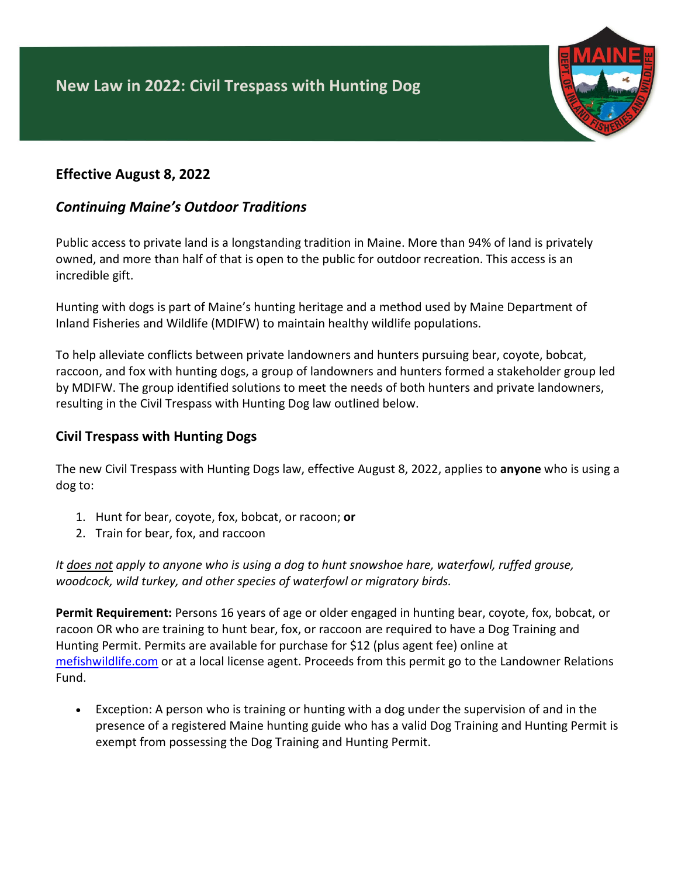

## **Effective August 8, 2022**

# *Continuing Maine's Outdoor Traditions*

Public access to private land is a longstanding tradition in Maine. More than 94% of land is privately owned, and more than half of that is open to the public for outdoor recreation. This access is an incredible gift.

Hunting with dogs is part of Maine's hunting heritage and a method used by Maine Department of Inland Fisheries and Wildlife (MDIFW) to maintain healthy wildlife populations.

To help alleviate conflicts between private landowners and hunters pursuing bear, coyote, bobcat, raccoon, and fox with hunting dogs, a group of landowners and hunters formed a stakeholder group led by MDIFW. The group identified solutions to meet the needs of both hunters and private landowners, resulting in the Civil Trespass with Hunting Dog law outlined below.

### **Civil Trespass with Hunting Dogs**

The new Civil Trespass with Hunting Dogs law, effective August 8, 2022, applies to **anyone** who is using a dog to:

- 1. Hunt for bear, coyote, fox, bobcat, or racoon; **or**
- 2. Train for bear, fox, and raccoon

*It does not apply to anyone who is using a dog to hunt snowshoe hare, waterfowl, ruffed grouse, woodcock, wild turkey, and other species of waterfowl or migratory birds.*

**Permit Requirement:** Persons 16 years of age or older engaged in hunting bear, coyote, fox, bobcat, or racoon OR who are training to hunt bear, fox, or raccoon are required to have a Dog Training and Hunting Permit. Permits are available for purchase for \$12 (plus agent fee) online at [mefishwildlife.com](https://moses.informe.org/cgi-bin/online/moses_v3/index) or at a local license agent. Proceeds from this permit go to the Landowner Relations Fund.

• Exception: A person who is training or hunting with a dog under the supervision of and in the presence of a registered Maine hunting guide who has a valid Dog Training and Hunting Permit is exempt from possessing the Dog Training and Hunting Permit.